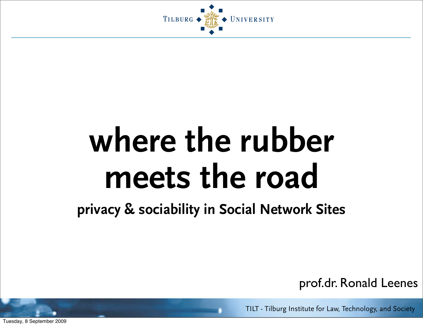

### **where the rubber meets the road**

#### **privacy & sociability in Social Network Sites**

prof.dr. Ronald Leenes

TILT - Tilburg Institute for Law, Technology, and Society

Tuesday, 8 September 2009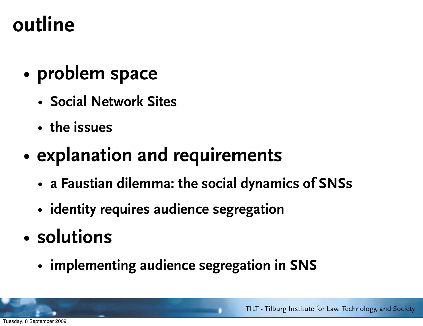#### **outline**

- **problem space**
	- **Social Network Sites**
	- **the issues**

#### • **explanation and requirements**

- **a Faustian dilemma: the social dynamics of SNSs**
- **identity requires audience segregation**
- **solutions**
	- **implementing audience segregation in SNS**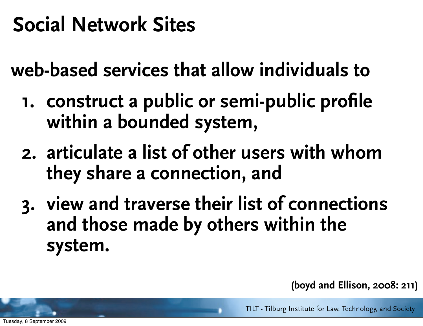#### **Social Network Sites**

**web-based services that allow individuals to**

- **1. construct a public or semi-public profile within a bounded system,**
- **2. articulate a list of other users with whom they share a connection, and**
- **3. view and traverse their list of connections and those made by others within the system.**

 **(boyd and Ellison, 2008: 211)**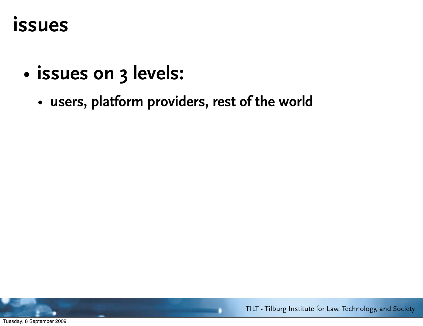#### **issues**

- **issues on 3 levels:**
	- **users, platform providers, rest of the world**



TILT - Tilburg Institute for Law, Technology, and Society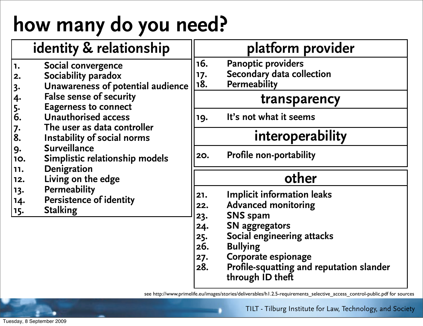### **how many do you need?**

|                                                                                                                                                   | identity & relationship                                                                                                                                                                                                                                                                                                                                                                                        |                                                      | platform provider                                                                                                                                                                                                                                          |
|---------------------------------------------------------------------------------------------------------------------------------------------------|----------------------------------------------------------------------------------------------------------------------------------------------------------------------------------------------------------------------------------------------------------------------------------------------------------------------------------------------------------------------------------------------------------------|------------------------------------------------------|------------------------------------------------------------------------------------------------------------------------------------------------------------------------------------------------------------------------------------------------------------|
| 1.<br>$\vert$ 2.<br>$\begin{array}{c} 3. \\ 4. \\ 5. \\ 6. \end{array}$<br> 7.<br> 8.<br> 9.<br><b>10.</b><br> 11.<br>12.<br> 13.<br> 14.<br> 15. | Social convergence<br>Sociability paradox<br>Unawareness of potential audience<br><b>False sense of security</b><br><b>Eagerness to connect</b><br><b>Unauthorised access</b><br>The user as data controller<br>Instability of social norms<br><b>Surveillance</b><br>Simplistic relationship models<br>Denigration<br>Living on the edge<br><b>Permeability</b><br>Persistence of identity<br><b>Stalking</b> | 16.<br>17.<br>18.                                    | <b>Panoptic providers</b><br>Secondary data collection<br><b>Permeability</b>                                                                                                                                                                              |
|                                                                                                                                                   |                                                                                                                                                                                                                                                                                                                                                                                                                |                                                      | transparency                                                                                                                                                                                                                                               |
|                                                                                                                                                   |                                                                                                                                                                                                                                                                                                                                                                                                                | 19.                                                  | It's not what it seems                                                                                                                                                                                                                                     |
|                                                                                                                                                   |                                                                                                                                                                                                                                                                                                                                                                                                                | interoperability                                     |                                                                                                                                                                                                                                                            |
|                                                                                                                                                   |                                                                                                                                                                                                                                                                                                                                                                                                                | 20.                                                  | <b>Profile non-portability</b>                                                                                                                                                                                                                             |
|                                                                                                                                                   |                                                                                                                                                                                                                                                                                                                                                                                                                | other                                                |                                                                                                                                                                                                                                                            |
|                                                                                                                                                   |                                                                                                                                                                                                                                                                                                                                                                                                                | 21.<br>22.<br>23.<br>24.<br>25.<br>26.<br>27.<br>28. | <b>Implicit information leaks</b><br><b>Advanced monitoring</b><br><b>SNS spam</b><br><b>SN</b> aggregators<br>Social engineering attacks<br><b>Bullying</b><br>Corporate espionage<br><b>Profile-squatting and reputation slander</b><br>through ID theft |

see http://www.primelife.eu/images/stories/deliverables/h1.2.5-requirements\_selective\_access\_control-public.pdf for sources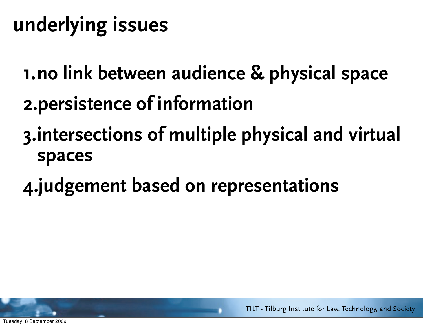### **underlying issues**

- **1.no link between audience & physical space 2.persistence of information**
- **3.intersections of multiple physical and virtual spaces**
- **4.judgement based on representations**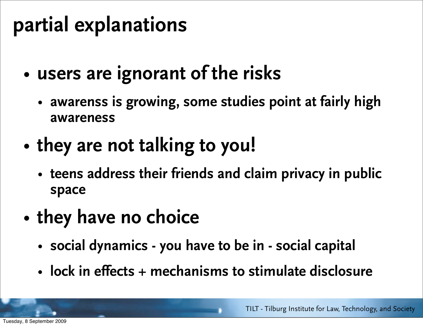#### **partial explanations**

- **users are ignorant of the risks**
	- **awarenss is growing, some studies point at fairly high awareness**
- **they are not talking to you!**
	- **teens address their friends and claim privacy in public space**
- **they have no choice**
	- **social dynamics you have to be in social capital**
	- **lock in effects + mechanisms to stimulate disclosure**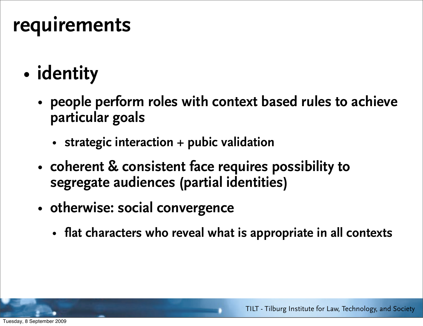#### **requirements**

- **identity**
	- **people perform roles with context based rules to achieve particular goals**
		- **strategic interaction + pubic validation**
	- **coherent & consistent face requires possibility to segregate audiences (partial identities)**
	- **otherwise: social convergence** 
		- **flat characters who reveal what is appropriate in all contexts**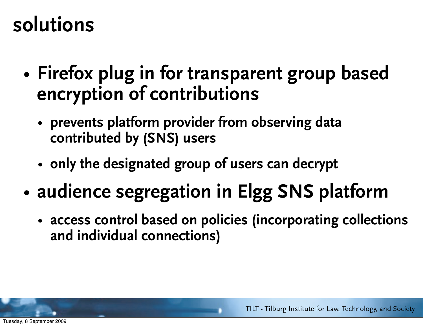#### **solutions**

- **Firefox plug in for transparent group based encryption of contributions**
	- **prevents platform provider from observing data contributed by (SNS) users**
	- **only the designated group of users can decrypt**
- **audience segregation in Elgg SNS platform**
	- **access control based on policies (incorporating collections and individual connections)**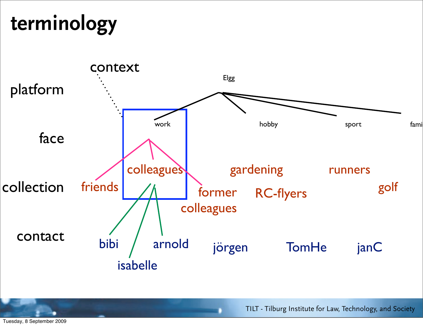### **terminology**



TILT - Tilburg Institute for Law, Technology, and Society

Tuesday, 8 September 2009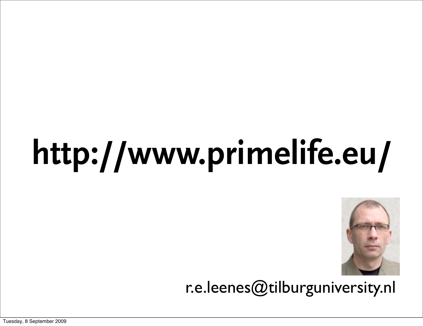# **http://www.primelife.eu/**



r.e.leenes@tilburguniversity.nl